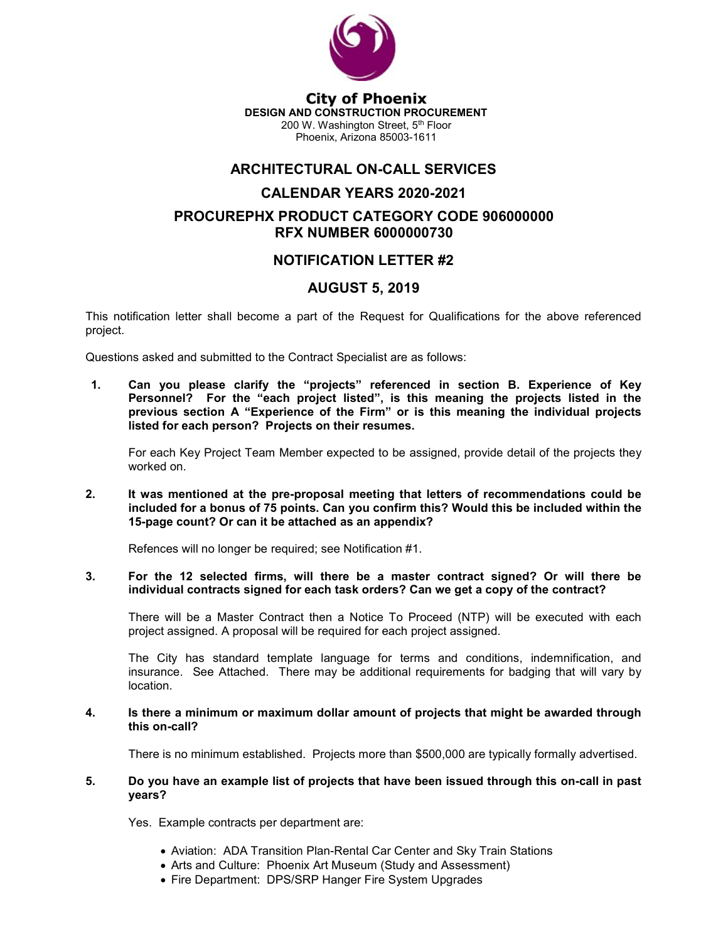

City of Phoenix DESIGN AND CONSTRUCTION PROCUREMENT 200 W. Washington Street, 5th Floor Phoenix, Arizona 85003-1611

## ARCHITECTURAL ON-CALL SERVICES

# CALENDAR YEARS 2020-2021 PROCUREPHX PRODUCT CATEGORY CODE 906000000 RFX NUMBER 6000000730

## NOTIFICATION LETTER #2

### AUGUST 5, 2019

This notification letter shall become a part of the Request for Qualifications for the above referenced project.

Questions asked and submitted to the Contract Specialist are as follows:

1. Can you please clarify the "projects" referenced in section B. Experience of Key Personnel? For the "each project listed", is this meaning the projects listed in the previous section A "Experience of the Firm" or is this meaning the individual projects listed for each person? Projects on their resumes.

For each Key Project Team Member expected to be assigned, provide detail of the projects they worked on.

#### 2. It was mentioned at the pre-proposal meeting that letters of recommendations could be included for a bonus of 75 points. Can you confirm this? Would this be included within the 15-page count? Or can it be attached as an appendix?

Refences will no longer be required; see Notification #1.

#### 3. For the 12 selected firms, will there be a master contract signed? Or will there be individual contracts signed for each task orders? Can we get a copy of the contract?

There will be a Master Contract then a Notice To Proceed (NTP) will be executed with each project assigned. A proposal will be required for each project assigned.

The City has standard template language for terms and conditions, indemnification, and insurance. See Attached. There may be additional requirements for badging that will vary by location.

#### 4. Is there a minimum or maximum dollar amount of projects that might be awarded through this on-call?

There is no minimum established. Projects more than \$500,000 are typically formally advertised.

### 5. Do you have an example list of projects that have been issued through this on-call in past years?

Yes. Example contracts per department are:

- Aviation: ADA Transition Plan-Rental Car Center and Sky Train Stations
- Arts and Culture: Phoenix Art Museum (Study and Assessment)
- Fire Department: DPS/SRP Hanger Fire System Upgrades